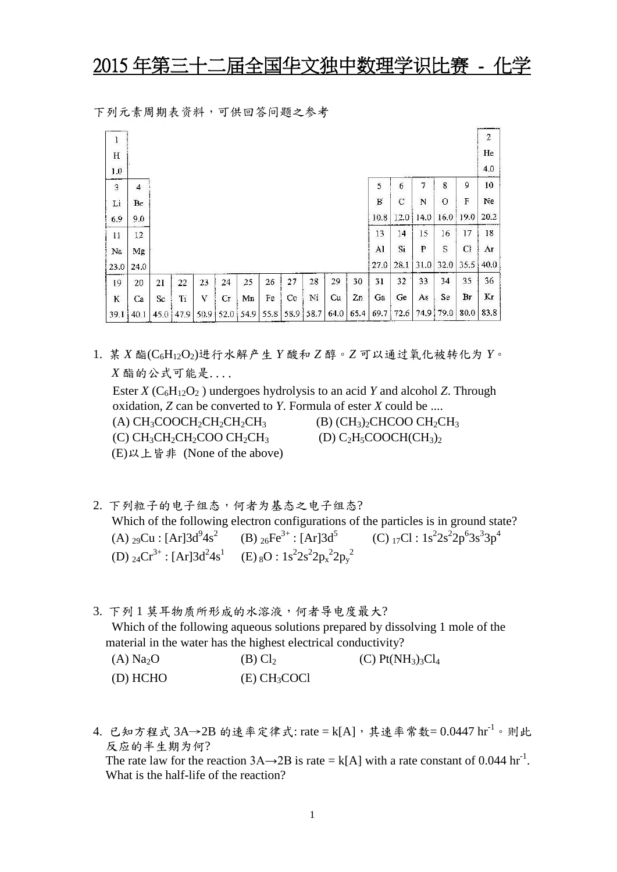## 2015 年第三十二届全国华文独中数理学识比赛 - 化学

|  | 下列元素周期表资料,可供回答问题之参考 |  |  |
|--|---------------------|--|--|
|--|---------------------|--|--|

| ļ           |      |      |      |       |    |             |      |      |      |      |      |      |             |             |           |      | $\boldsymbol{2}$ |
|-------------|------|------|------|-------|----|-------------|------|------|------|------|------|------|-------------|-------------|-----------|------|------------------|
| $\mathbf H$ |      |      |      |       |    |             |      |      |      |      |      |      |             |             |           |      | He               |
| 1.0         |      |      |      |       |    |             |      |      |      |      |      |      |             |             |           |      | 4.0              |
| $\mathbf 3$ | 4    |      |      |       |    |             |      |      |      |      |      | 5    | 6           | 7           | 8         | 9    | 10               |
| Li          | Be   |      |      |       |    |             |      |      |      |      |      | B    | $\mathbf C$ | N           | $\circ$   | F    | Ne               |
| 6.9         | 9.0  |      |      |       |    |             |      |      |      |      |      | 10.8 | 12.0        | 14.0        | 16.0      | 19.0 | 20.2             |
| 11          | 12   |      |      |       |    |             |      |      |      |      |      | 13   | 14          | 15          | 16        | 17   | 18               |
| Na          | Mg   |      |      |       |    |             |      |      |      |      |      | Al   | Si          | $\mathbf P$ | S         | Cl   | Aτ               |
| 23.0        | 24.0 |      |      |       |    |             |      |      |      |      |      | 27.0 | 28.1        | 31.0        | 32.0      | 35.5 | 40.0             |
| 19          | 20   | 21   | 22   | 23    | 24 | 25          | 26   | 27   | 28   | 29   | 30   | 31   | 32          | 33          | 34        | 35   | 36               |
| $\bf K$     | Ca   | Sc   | Ti   | v     | Сr | Mn          | Fe   | Co   | Ni   | Cu   | 2n   | Ga   | Ge          | As          | Se        | Br   | Kг               |
| 39.1        | 40.1 | 45,0 | 47.9 | 50.91 |    | $52.0$ 54.9 | 55.8 | 58.9 | 58.7 | 64.0 | 65.4 | 69.7 | 72.6        |             | 74.9 79.0 | 80.0 | 83.8             |

1. 某 *X* 酯(C6H12O2)进行水解产生 *Y* 酸和 *Z* 醇。*Z* 可以通过氧化被转化为 *Y*。 *X* 酯的公式可能是.... Ester *X* ( $C_6H_1_2O_2$ ) undergoes hydrolysis to an acid *Y* and alcohol *Z*. Through

oxidation, *Z* can be converted to *Y*. Formula of ester *X* could be .... (A)  $CH_3COOCH_2CH_2CH_2CH_3$  (B)  $(CH_3)_2CHCOO CH_2CH_3$ 

(C)  $CH_3CH_2CH_2COO CH_2CH_3$  (D)  $C_2H_5COOCH(CH_3)_2$ (E)以上皆非 (None of the above)

- 2. 下列粒子的电子组态,何者为基态之电子组态? Which of the following electron configurations of the particles is in ground state? (A) <sub>29</sub>Cu : [Ar]3d<sup>9</sup>4s<sup>2</sup> (B) <sub>26</sub>Fe<sup>3+</sup> : [Ar]3d<sup>5</sup> (C) <sub>17</sub>Cl : 1s<sup>2</sup>  $2s^22p^63s^33p^4$ (D)  ${}_{24}Cr^{3+}$ : [Ar] $3d^{2}4s^{1}$  (E)  ${}_{8}O$  :  $1s^{2}2s^{2}2p_{x}^{2}2p_{y}^{2}$
- 3. 下列1 莫耳物质所形成的水溶液, 何者导电度最大? Which of the following aqueous solutions prepared by dissolving 1 mole of the material in the water has the highest electrical conductivity?

| (A) Na <sub>2</sub> O | $(B)$ Cl <sub>2</sub>    | (C) Pt(NH <sub>3</sub> ) <sub>3</sub> Cl <sub>4</sub> |
|-----------------------|--------------------------|-------------------------------------------------------|
| (D) HCHO              | (E) CH <sub>3</sub> COCl |                                                       |

4. 已知方程式 3A→2B 的速率定律式: rate = k[A],其速率常数= 0.0447 hr<sup>-1</sup>。则此 反应的半生期为何? The rate law for the reaction  $3A \rightarrow 2B$  is rate = k[A] with a rate constant of 0.044 hr<sup>-1</sup>. What is the half-life of the reaction?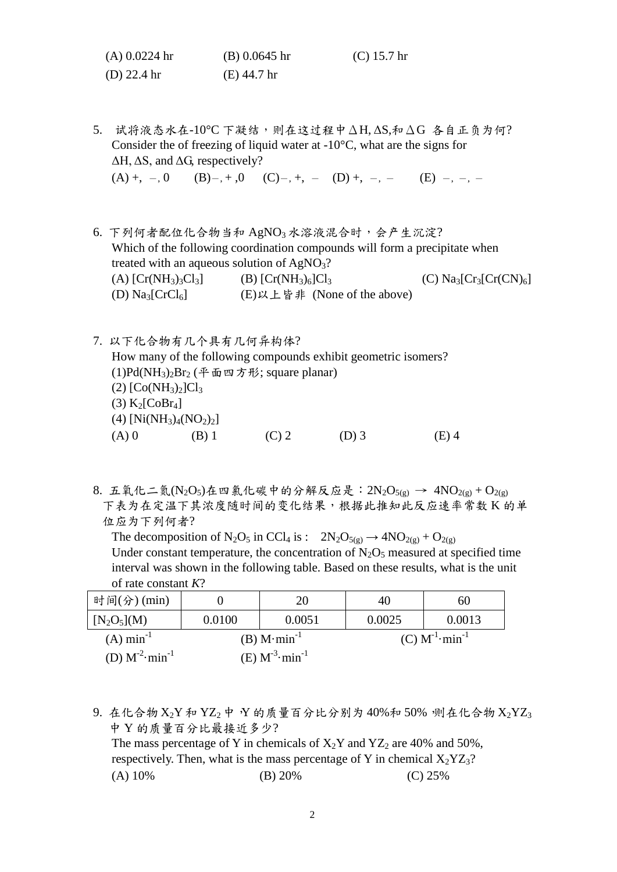| $(A)$ 0.0224 hr       | $(B)$ 0.0645 hr | $(C)$ 15.7 hr |
|-----------------------|-----------------|---------------|
| (D) $22.4 \text{ hr}$ | $(E)$ 44.7 hr   |               |

5. 试将液态水在-10°C 下凝结,则在这过程中ΔH, ΔS,和ΔG 各自正负为何? Consider the of freezing of liquid water at  $-10 \text{ C}$ , what are the signs for  $\Delta H$ ,  $\Delta S$ , and  $\Delta G$ , respectively?  $(A) +$ ,  $-, 0$   $(B) -$ ,  $+, 0$   $(C) -$ ,  $+, (D) +$ ,  $-, (E) -$ ,  $-, -$ 

6. 下列何者配位化合物当和 AgNO3 水溶液混合时, 会产生沉淀? Which of the following coordination compounds will form a precipitate when treated with an aqueous solution of  $AgNO<sub>3</sub>$ ? (A)  $[Cr(NH_3)_3Cl_3]$  (B)  $[Cr(NH_3)_6]Cl_3$  (C)  $Na_3[Cr_3[Cr(CN)_6]$ (D)  $\text{Na}_3[\text{CrCl}_6]$  (E) 以上皆非 (None of the above)

- 7. 以下化合物有几个具有几何异构体? How many of the following compounds exhibit geometric isomers? (1)Pd(NH<sub>3</sub>)<sub>2</sub>Br<sub>2</sub> (平面四方形; square planar)  $(2)$   $[Co(NH_3)_2]Cl_3$  $(3)$  K<sub>2</sub>[CoBr<sub>4</sub>]  $(4)$  [Ni(NH<sub>3</sub>)<sub>4</sub>(NO<sub>2</sub>)<sub>2</sub>] (A) 0 (B) 1 (C) 2 (D) 3 (E) 4
- 8. 五氧化二氮(N2O5)在四氯化碳中的分解反应是: 2N2O<sub>5(g)</sub> → 4NO<sub>2(g)</sub> + O<sub>2(g)</sub> 下表为在定温下其浓度随时间的变化结果,根据此推知此反应速率常数 K 的单 位应为下列何者?

The decomposition of N<sub>2</sub>O<sub>5</sub> in CCl<sub>4</sub> is :  $2N_2O_{5(g)} \rightarrow 4NO_{2(g)} + O_{2(g)}$ Under constant temperature, the concentration of  $N_2O_5$  measured at specified time interval was shown in the following table. Based on these results, what is the unit of rate constant *K*?

| 时间(分)(min)                     |        | 20                             | 40     | 60                    |
|--------------------------------|--------|--------------------------------|--------|-----------------------|
| $[N_2O_5](M)$                  | 0.0100 | 0.0051                         | 0.0025 | 0.0013                |
| $(A)$ min <sup>-1</sup>        |        | $(B)$ M min <sup>-1</sup>      |        | $(C) M^{-1} min^{-1}$ |
| (D) $M^{-2}$ min <sup>-1</sup> |        | (E) $M^{-3}$ min <sup>-1</sup> |        |                       |

9. 在化合物  $X_2Y$  和  $YZ_2$  中  $Y$  的质量百分比分别为 40%和 50%, 则在化合物  $X_2YZ_3$ 中 Y 的质量百分比最接近多少? The mass percentage of Y in chemicals of  $X_2Y$  and  $YZ_2$  are 40% and 50%, respectively. Then, what is the mass percentage of Y in chemical  $X_2YZ_3$ ? (A) 10% (B) 20% (C) 25%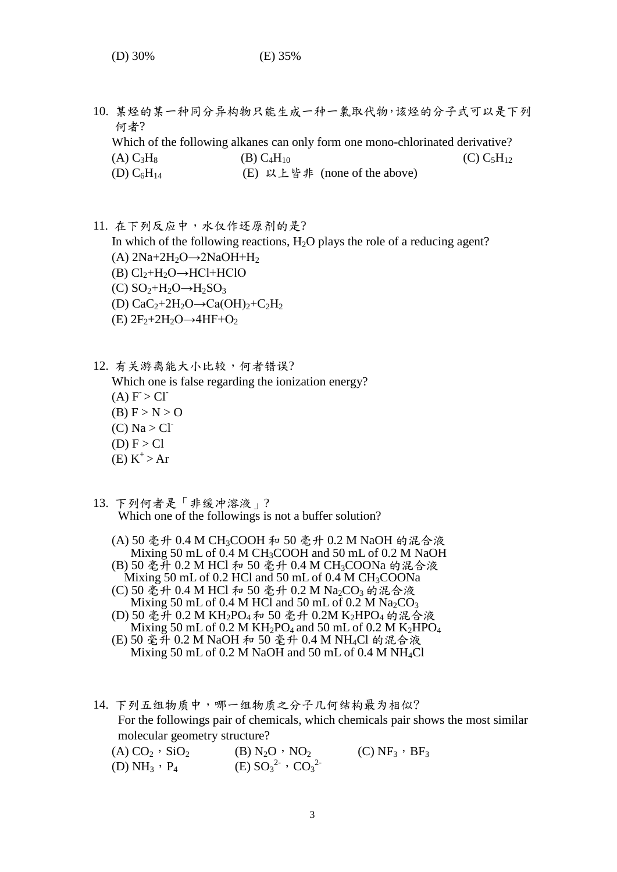10. 某烃的某一种同分异构物只能生成一种一氯取代物,该烃的分子式可以是下列 何者? Which of the following alkanes can only form one mono-chlorinated derivative? (A)  $C_3H_8$  (B)  $C_4H_{10}$  (C)  $C_5H_{12}$  $(D) C_6H_{14}$ (E) 以上皆非 (none of the above)

11. 在下列反应中,水仅作还原剂的是? In which of the following reactions,  $H_2O$  plays the role of a reducing agent? (A)  $2Na+2H_2O \rightarrow 2NaOH+H_2$  $(B)$  Cl<sub>2</sub>+H<sub>2</sub>O→HCl+HClO  $(C) SO<sub>2</sub>+H<sub>2</sub>O \rightarrow H<sub>2</sub>SO<sub>3</sub>$ (D)  $CaC<sub>2</sub>+2H<sub>2</sub>O \rightarrow Ca(OH)<sub>2</sub>+C<sub>2</sub>H<sub>2</sub>$  $(E)$  2F<sub>2</sub>+2H<sub>2</sub>O→4HF+O<sub>2</sub>

12. 有关游离能大小比较,何者错误? Which one is false regarding the ionization energy?  $(A) F > Cl^ (B)$  F > N > O  $(C)$  Na  $>$  Cl<sup>-</sup>  $(D) F > C1$  $(E) K^+$  > Ar

- 13. 下列何者是「非缓冲溶液」? Which one of the followings is not a buffer solution?
	- (A) 50 毫升 0.4 M CH3COOH 和 50 毫升 0.2 M NaOH 的混合液 Mixing 50 mL of 0.4 M CH<sub>3</sub>COOH and 50 mL of 0.2 M NaOH
	- (B) 50 毫升 0.2 M HCl 和 50 毫升 0.4 M CH3COONa 的混合液 Mixing 50 mL of 0.2 HCl and 50 mL of 0.4 M  $CH<sub>3</sub>COONa$
	- (C) 50 毫升 0.4 M HCl 和 50 毫升 0.2 M Na<sub>2</sub>CO<sub>3</sub> 的混合液 Mixing 50 mL of 0.4 M HCl and 50 mL of 0.2 M  $Na<sub>2</sub>CO<sub>3</sub>$
	- (D) 50 毫升 0.2 M KH2PO<sup>4</sup> 和 50 毫升 0.2M K2HPO<sup>4</sup> 的混合液 Mixing 50 mL of 0.2 M KH<sub>2</sub>PO<sub>4</sub> and 50 mL of 0.2 M K<sub>2</sub>HPO<sub>4</sub>
	- (E) 50 毫升 0.2 M NaOH 和 50 毫升 0.4 M NH4Cl 的混合液 Mixing 50 mL of 0.2 M NaOH and 50 mL of 0.4 M NH4Cl
- 14. 下列五组物质中,哪一组物质之分子几何结构最为相似? For the followings pair of chemicals, which chemicals pair shows the most similar molecular geometry structure?

| $(A) CO2$ , $SiO2$   | (B) $N_2O \cdot NO_2$         | (C) NF <sub>3</sub> $\cdot$ BF <sub>3</sub> |
|----------------------|-------------------------------|---------------------------------------------|
| (D) $NH_3 \cdot P_4$ | (E) $SO_3^{2-}$ , $CO_3^{2-}$ |                                             |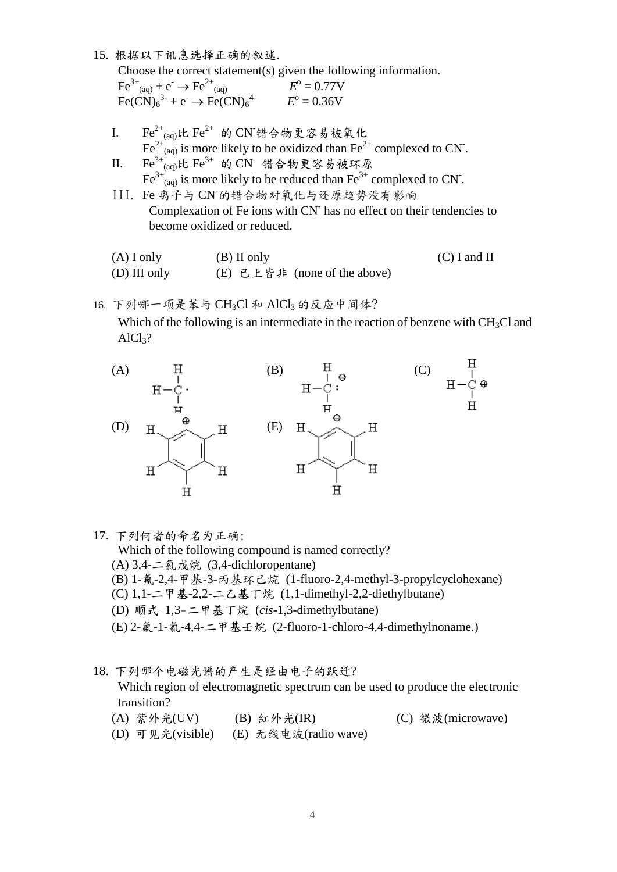15. 根据以下讯息选择正确的叙述.

 Choose the correct statement(s) given the following information.  $Fe^{3+}$ <sub>(aq)</sub> +  $e^- \rightarrow Fe^{2+}$ (aq)  $E^{\text{o}} = 0.77 \text{V}$ 

- $\text{Fe(CN)}_{6}^{3-} + e^- \rightarrow \text{Fe(CN)}_{6}^{4-}$  *E*  $^{\circ} = 0.36V$
- I. Fe<sup>2+</sup><sub>(aq)</sub>比 Fe<sup>2+</sup> 的 CN 错合物更容易被氧化  $\text{Fe}^{2+}$ <sub>(aq)</sub> is more likely to be oxidized than  $\text{Fe}^{2+}$  complexed to CN.
- II. Fe<sup>3+</sup> (aq)比 Fe<sup>3+</sup> 的 CN 错合物更容易被环原  $\text{Fe}^{3+}$ <sub>(aq)</sub> is more likely to be reduced than  $\text{Fe}^{3+}$  complexed to CN.
- III. Fe 离子与 CN-的错合物对氧化与还原趋势没有影响 Complexation of Fe ions with CN has no effect on their tendencies to become oxidized or reduced.

| $(A)$ I only | (B) II only                  | $(C)$ I and II |
|--------------|------------------------------|----------------|
| (D) III only | (E) 已上皆非 (none of the above) |                |

16. 下列哪一项是苯与 CH<sub>3</sub>Cl 和 AlCl<sub>3</sub> 的反应中间体?

Which of the following is an intermediate in the reaction of benzene with  $CH<sub>3</sub>Cl$  and  $AICl<sub>3</sub>?$ 



17. 下列何者的命名为正确:

Which of the following compound is named correctly?

- (A) 3,4-二氯戊烷 (3,4-dichloropentane)
- (B) 1-氟-2,4-甲基-3-丙基环己烷 (1-fluoro-2,4-methyl-3-propylcyclohexane)
- (C) 1,1-二甲基-2,2-二乙基丁烷 (1,1-dimethyl-2,2-diethylbutane)
- (D) 顺式-1,3-二甲基丁烷 (*cis*-1,3-dimethylbutane)
- (E) 2-氟-1-氯-4,4-二甲基壬烷 (2-fluoro-1-chloro-4,4-dimethylnoname.)
- 18. 下列哪个电磁光谱的产生是经由电子的跃迁? Which region of electromagnetic spectrum can be used to produce the electronic transition?
	- (A) 紫外光(UV) (B) 紅外光(IR) (C) 微波(microwave)
	- (D) 可见光(visible) (E) 无线电波(radio wave)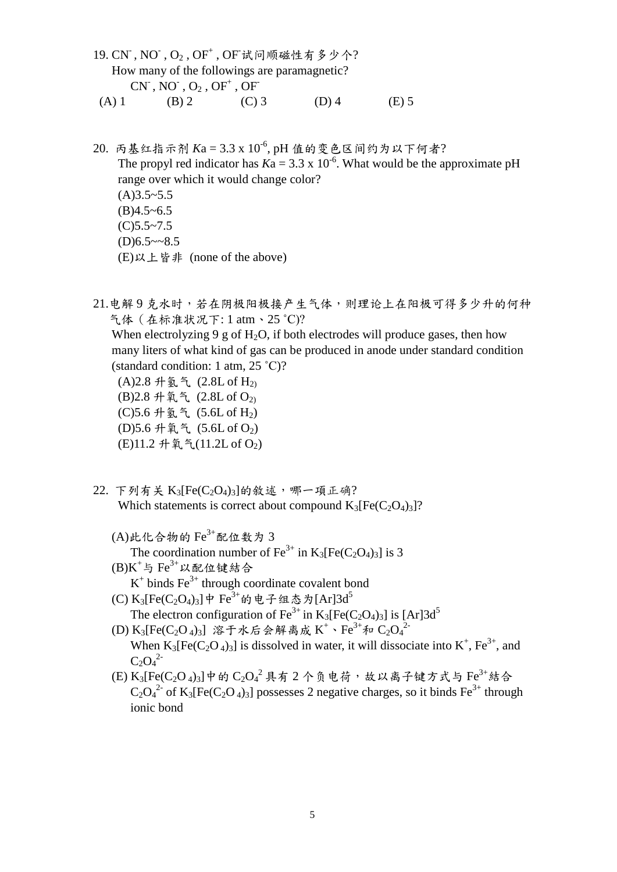- 19. CN , NO , O2, OF+, OF试问顺磁性有多少个? How many of the followings are paramagnetic?  $\text{CN}^{\text{-}}, \text{NO}^{\text{-}}, \text{O}_2$  ,  $\text{OF}^{\text{+}}$  ,  $\text{OF}^{\text{+}}$ (A) 1 (B) 2 (C) 3 (D) 4 (E) 5
- 20. 丙基红指示剂 Ka = 3.3 x 10<sup>-6</sup>, pH 值的变色区间约为以下何者? The propyl red indicator has  $Ka = 3.3 \times 10^{-6}$ . What would be the approximate pH range over which it would change color?  $(A)3.5 - 5.5$  $(B)4.5~6.5$  $(C)5.5~7.5$  $(D)6.5 \sim 8.5$ (E)以上皆非 (none of the above)

21.电解9克水时,若在阴极阳极接产生气体,则理论上在阳极可得多少升的何种 气体(在标准状况下: 1 atm、25 ˚C)? When electrolyzing 9 g of H<sub>2</sub>O, if both electrodes will produce gases, then how many liters of what kind of gas can be produced in anode under standard condition (standard condition: 1 atm, 25 ˚C)? (A)  $2.8 \text{ H}$   $\frac{5}{2}$  (2.8L of  $\text{H}_{2}$ ) (B)  $2.8 \#$   $\lessgtr$  (2.8L of  $O_{2}$ ) (C)5.6 升氢气 (5.6L of H2) (D)5.6 升氧气 (5.6L of  $O_2$ ) (E)11.2 升氧气(11.2L of O<sub>2</sub>)

- $22.$  下列有关  $K_3[Fe(C_2O_4)_3]$ 的敘述, 哪一項正确? Which statements is correct about compound  $K_3[Fe(C_2O_4)_3]$ ?
	- $(A)$ 此化合物的 $Fe^{3+}$ 配位数为 3 The coordination number of Fe<sup>3+</sup> in K<sub>3</sub>[Fe(C<sub>2</sub>O<sub>4</sub>)<sub>3</sub>] is 3
	- $(B)K^+$ 与 Fe $^{3+}$ 以配位键结合  $K^+$  binds  $Fe^{3+}$  through coordinate covalent bond
	- (C) K<sub>3</sub>[Fe(C<sub>2</sub>O<sub>4</sub>)<sub>3</sub>]中 Fe<sup>3+</sup>的电子组态为[Ar]3d<sup>5</sup> The electron configuration of Fe<sup>3+</sup> in K<sub>3</sub>[Fe(C<sub>2</sub>O<sub>4</sub>)<sub>3</sub>] is [Ar]3d<sup>5</sup>
	- (D)  $K_3[Fe(C_2O_4)_3]$  溶于水后会解离成 $K^+ \cdot Fe^{3+}$ 和 $C_2O_4{}^{2-}$ When  $K_3[Fe(C_2O_4)_3]$  is dissolved in water, it will dissociate into  $K^+$ ,  $Fe^{3+}$ , and  $C_2O_4^2$
	- (E)  $\mathrm{K}_3[\mathrm{Fe}(\mathrm{C}_2\mathrm{O}_4)_3]$ 中的 $\mathrm{C}_2\mathrm{O_4}^2$ 具有2个负电荷,故以离子键方式与 $\mathrm{Fe}^{3+}$ 結合  $C_2O_4^2$  of K<sub>3</sub>[Fe(C<sub>2</sub>O<sub>4</sub>)<sub>3</sub>] possesses 2 negative charges, so it binds Fe<sup>3+</sup> through ionic bond